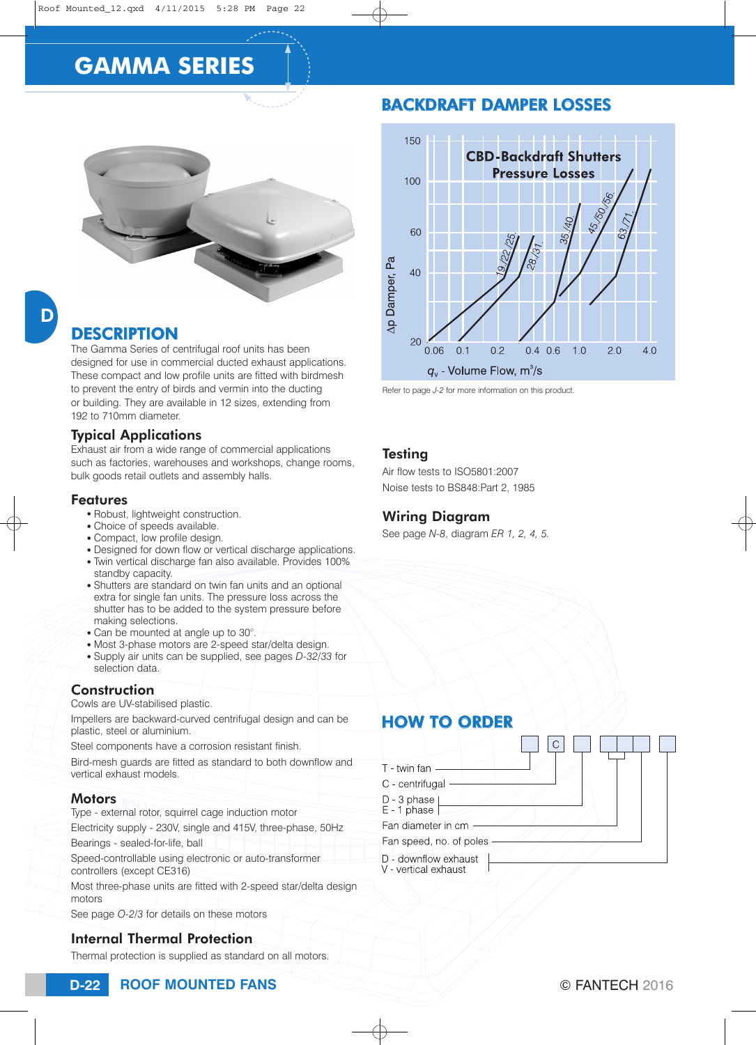

## **DESCRIPTION**

The Gamma Series of centrifugal roof units has been designed for use in commercial ducted exhaust applications. These compact and low profile units are fitted with birdmesh to prevent the entry of birds and vermin into the ducting or building. They are available in 12 sizes, extending from 192 to 710mm diameter.

### Typical Applications

Exhaust air from a wide range of commercial applications such as factories, warehouses and workshops, change rooms, bulk goods retail outlets and assembly halls.

#### Features

- Robust, lightweight construction.
- Choice of speeds available.
- Compact, low profile design.
- Designed for down flow or vertical discharge applications.
- Twin vertical discharge fan also available. Provides 100% standby capacity.
- Shutters are standard on twin fan units and an optional extra for single fan units. The pressure loss across the shutter has to be added to the system pressure before making selections.
- Can be mounted at angle up to 30°.
- Most 3-phase motors are 2-speed star/delta design.
- <sup>O</sup> Supply air units can be supplied, see pages *D-32/33* for selection data.

### Construction

Cowls are UV-stabilised plastic.

Impellers are backward-curved centrifugal design and can be plastic, steel or aluminium.

Steel components have a corrosion resistant finish.

Bird-mesh guards are fitted as standard to both downflow and vertical exhaust models.

#### **Motors**

Type - external rotor, squirrel cage induction motor

Electricity supply - 230V, single and 415V, three-phase, 50Hz

Bearings - sealed-for-life, ball

Speed-controllable using electronic or auto-transformer controllers (except CE316)

Most three-phase units are fitted with 2-speed star/delta design motors

See page *O-2/3* for details on these motors

## Internal Thermal Protection

Thermal protection is supplied as standard on all motors.

## BACKDRAFT DAMPER LOSSES



Refer to page *J-2* for more information on this product.

#### **Testing**

Air flow tests to ISO5801:2007 Noise tests to BS848:Part 2, 1985

### Wiring Diagram

See page *N-8*, diagram *ER 1, 2, 4, 5.*

## HOW TO ORDER



D - downflow exhaust V - vertical exhaust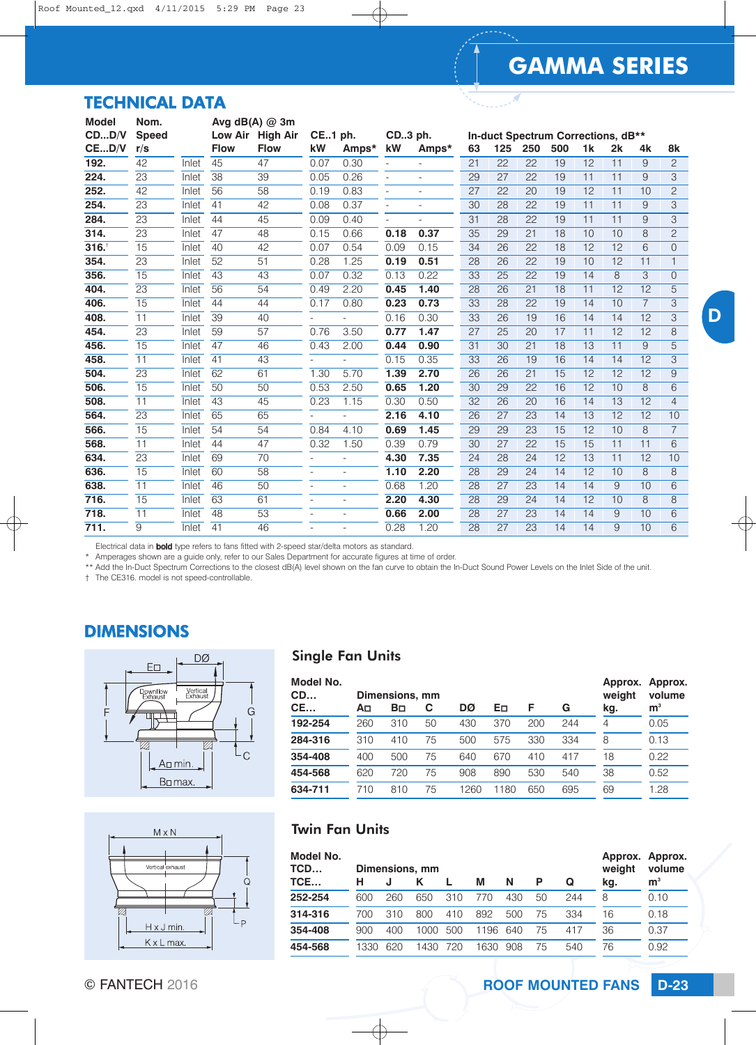## TECHNICAL DATA

| <b>Model</b> | Nom.         |       |             | Avg $dB(A)$ @ 3m |                |                          |                          |       |    |                                    |     |     |                |                |                |                |
|--------------|--------------|-------|-------------|------------------|----------------|--------------------------|--------------------------|-------|----|------------------------------------|-----|-----|----------------|----------------|----------------|----------------|
| CDD/V        | <b>Speed</b> |       |             | Low Air High Air | CE1 ph.        |                          | CD3 ph.                  |       |    | In-duct Spectrum Corrections, dB** |     |     |                |                |                |                |
| CED/V        | r/s          |       | <b>Flow</b> | <b>Flow</b>      | kW             | Amps*                    | kW                       | Amps* | 63 | 125                                | 250 | 500 | 1 <sub>k</sub> | 2k             | 4k             | 8k             |
| 192.         | 42           | Inlet | 45          | 47               | 0.07           | 0.30                     |                          |       | 21 | 22                                 | 22  | 19  | 12             | 11             | $\overline{9}$ | $\mathbf{2}$   |
| 224.         | 23           | Inlet | 38          | 39               | 0.05           | 0.26                     | $\equiv$                 |       | 29 | 27                                 | 22  | 19  | 11             | 11             | 9              | 3              |
| 252.         | 42           | Inlet | 56          | 58               | 0.19           | 0.83                     |                          |       | 27 | 22                                 | 20  | 19  | 12             | 11             | 10             | 2              |
| 254.         | 23           | Inlet | 41          | 42               | 0.08           | 0.37                     | $\overline{\phantom{a}}$ |       | 30 | 28                                 | 22  | 19  | 11             | 11             | 9              | 3              |
| 284.         | 23           | Inlet | 44          | 45               | 0.09           | 0.40                     |                          |       | 31 | 28                                 | 22  | 19  | 11             | 11             | 9              | 3              |
| 314.         | 23           | Inlet | 47          | 48               | 0.15           | 0.66                     | 0.18                     | 0.37  | 35 | 29                                 | 21  | 18  | 10             | 10             | 8              | $\overline{c}$ |
| 316.         | 15           | Inlet | 40          | 42               | 0.07           | 0.54                     | 0.09                     | 0.15  | 34 | 26                                 | 22  | 18  | 12             | 12             | 6              | $\Omega$       |
| 354.         | 23           | Inlet | 52          | 51               | 0.28           | 1.25                     | 0.19                     | 0.51  | 28 | 26                                 | 22  | 19  | 10             | 12             | 11             | $\mathbf{1}$   |
| 356.         | 15           | Inlet | 43          | 43               | 0.07           | 0.32                     | 0.13                     | 0.22  | 33 | 25                                 | 22  | 19  | 14             | 8              | 3              | $\Omega$       |
| 404.         | 23           | Inlet | 56          | 54               | 0.49           | 2.20                     | 0.45                     | 1.40  | 28 | 26                                 | 21  | 18  | 11             | 12             | 12             | 5              |
| 406.         | 15           | Inlet | 44          | 44               | 0.17           | 0.80                     | 0.23                     | 0.73  | 33 | 28                                 | 22  | 19  | 14             | 10             | 7              | 3              |
| 408.         | 11           | Inlet | 39          | 40               |                |                          | 0.16                     | 0.30  | 33 | 26                                 | 19  | 16  | 14             | 14             | 12             | 3              |
| 454.         | 23           | Inlet | 59          | 57               | 0.76           | 3.50                     | 0.77                     | 1.47  | 27 | 25                                 | 20  | 17  | 11             | 12             | 12             | 8              |
| 456.         | 15           | Inlet | 47          | 46               | 0.43           | 2.00                     | 0.44                     | 0.90  | 31 | 30                                 | 21  | 18  | 13             | 11             | 9              | 5              |
| 458.         | 11           | Inlet | 41          | 43               |                |                          | 0.15                     | 0.35  | 33 | 26                                 | 19  | 16  | 14             | 14             | 12             | 3              |
| 504.         | 23           | Inlet | 62          | 61               | 1.30           | 5.70                     | 1.39                     | 2.70  | 26 | 26                                 | 21  | 15  | 12             | 12             | 12             | 9              |
| 506.         | 15           | Inlet | 50          | 50               | 0.53           | 2.50                     | 0.65                     | 1.20  | 30 | 29                                 | 22  | 16  | 12             | 10             | 8              | 6              |
| 508.         | 11           | Inlet | 43          | 45               | 0.23           | 1.15                     | 0.30                     | 0.50  | 32 | 26                                 | 20  | 16  | 14             | 13             | 12             | $\overline{4}$ |
| 564.         | 23           | Inlet | 65          | 65               |                |                          | 2.16                     | 4.10  | 26 | 27                                 | 23  | 14  | 13             | 12             | 12             | 10             |
| 566.         | 15           | Inlet | 54          | 54               | 0.84           | 4.10                     | 0.69                     | 1.45  | 29 | 29                                 | 23  | 15  | 12             | 10             | 8              | $\overline{7}$ |
| 568.         | 11           | Inlet | 44          | 47               | 0.32           | 1.50                     | 0.39                     | 0.79  | 30 | 27                                 | 22  | 15  | 15             | 11             | 11             | 6              |
| 634.         | 23           | Inlet | 69          | 70               |                | $\overline{a}$           | 4.30                     | 7.35  | 24 | 28                                 | 24  | 12  | 13             | 11             | 12             | 10             |
| 636.         | 15           | Inlet | 60          | 58               |                | $\overline{\phantom{a}}$ | 1.10                     | 2.20  | 28 | 29                                 | 24  | 14  | 12             | 10             | 8              | 8              |
| 638.         | 11           | Inlet | 46          | 50               |                | $\overline{\phantom{a}}$ | 0.68                     | 1.20  | 28 | 27                                 | 23  | 14  | 14             | $\overline{9}$ | 10             | 6              |
| 716.         | 15           | Inlet | 63          | 61               | $\overline{a}$ | $\overline{\phantom{a}}$ | 2.20                     | 4.30  | 28 | 29                                 | 24  | 14  | 12             | 10             | 8              | 8              |
| 718.         | 11           | Inlet | 48          | 53               |                | $\overline{\phantom{a}}$ | 0.66                     | 2.00  | 28 | 27                                 | 23  | 14  | 14             | $\overline{9}$ | 10             | 6              |
| 711.         | 9            | Inlet | 41          | 46               | $\overline{a}$ | $\overline{\phantom{a}}$ | 0.28                     | 1.20  | 28 | 27                                 | 23  | 14  | 14             | 9              | 10             | 6              |

Electrical data in **bold** type refers to fans fitted with 2-speed star/delta motors as standard.

\* Amperages shown are a guide only, refer to our Sales Department for accurate figures at time of order.

\*\* Add the In-Duct Spectrum Corrections to the closest dB(A) level shown on the fan curve to obtain the In-Duct Sound Power Levels on the Inlet Side of the unit.

† The CE316. model is not speed-controllable.

## DIMENSIONS





## Single Fan Units

| Model No.<br>CD<br>CE | Aп  | Dimensions, mm<br>Bо | Approx.<br>weight<br>kg. | Approx.<br>volume<br>m <sup>3</sup> |      |     |     |    |      |
|-----------------------|-----|----------------------|--------------------------|-------------------------------------|------|-----|-----|----|------|
| 192-254               | 260 | 310                  | 50                       | 430                                 | 370  | 200 | 244 | 4  | 0.05 |
| 284-316               | 310 | 410                  | 75                       | 500                                 | 575  | 330 | 334 | 8  | 0.13 |
| 354-408               | 400 | 500                  | 75                       | 640                                 | 670  | 410 | 417 | 18 | 0.22 |
| 454-568               | 620 | 720                  | 75                       | 908                                 | 890  | 530 | 540 | 38 | 0.52 |
| 634-711               | 710 | 810                  | 75                       | 1260                                | 1180 | 650 | 695 | 69 | 1.28 |

### Twin Fan Units

| Model No.<br>TCD |      | Dimensions, mm | weight | Approx. Approx.<br>volume |      |     |    |     |     |                |
|------------------|------|----------------|--------|---------------------------|------|-----|----|-----|-----|----------------|
| TCE              | н    | J              | κ      |                           | M    | N   | Р  | Q   | kg. | m <sup>3</sup> |
| 252-254          | 600  | 260            | 650    | 310                       | 770  | 430 | 50 | 244 | 8   | 0.10           |
| 314-316          | 700  | 310            | 800    | 410                       | 892  | 500 | 75 | 334 | 16  | 0.18           |
| 354-408          | 900  | 400            | 1000   | 500                       | 1196 | 640 | 75 | 417 | 36  | 0.37           |
| 454-568          | 1330 | 620            | 1430   | 720                       | 1630 | 908 | 75 | 540 | 76  | 0.92           |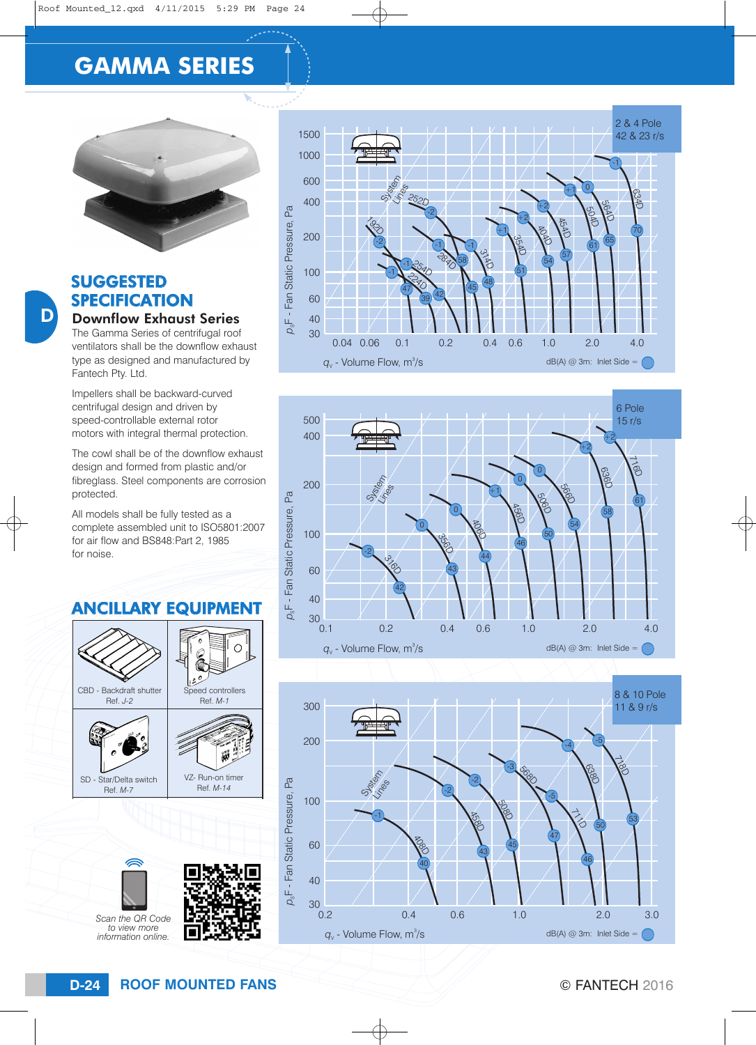

### Downflow Exhaust Series SUGGESTED **SPECIFICATION**

The Gamma Series of centrifugal roof ventilators shall be the downflow exhaust type as designed and manufactured by Fantech Pty. Ltd.

Impellers shall be backward-curved centrifugal design and driven by speed-controllable external rotor motors with integral thermal protection.

The cowl shall be of the downflow exhaust design and formed from plastic and/or fibreglass. Steel components are corrosion protected.

All models shall be fully tested as a complete assembled unit to ISO5801:2007 for air flow and BS848:Part 2, 1985 for noise.

## **ANCILLARY EQUIPMENT**









D

**ROOF MOUNTED FANS D-24** © FANTECH 2016